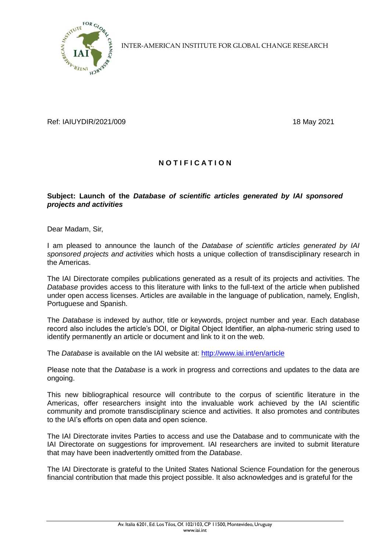

INTER-AMERICAN INSTITUTE FOR GLOBAL CHANGE RESEARCH

Ref: IAIUYDIR/2021/009 18 May 2021

## **N O T I F I C A T I O N**

## **Subject: Launch of the** *Database of scientific articles generated by IAI sponsored projects and activities*

Dear Madam, Sir,

I am pleased to announce the launch of the *Database of scientific articles generated by IAI sponsored projects and activities* which hosts a unique collection of transdisciplinary research in the Americas.

The IAI Directorate compiles publications generated as a result of its projects and activities. The *Database* provides access to this literature with links to the full-text of the article when published under open access licenses. Articles are available in the language of publication, namely, English, Portuguese and Spanish.

The *Database* is indexed by author, title or keywords, project number and year. Each database record also includes the article's DOI, or Digital Object Identifier, an alpha-numeric string used to identify permanently an article or document and link to it on the web.

The *Database* is available on the IAI website at:<http://www.iai.int/en/article>

Please note that the *Database* is a work in progress and corrections and updates to the data are ongoing.

This new bibliographical resource will contribute to the corpus of scientific literature in the Americas, offer researchers insight into the invaluable work achieved by the IAI scientific community and promote transdisciplinary science and activities. It also promotes and contributes to the IAI's efforts on open data and open science.

The IAI Directorate invites Parties to access and use the Database and to communicate with the IAI Directorate on suggestions for improvement. IAI researchers are invited to submit literature that may have been inadvertently omitted from the *Database*.

The IAI Directorate is grateful to the United States National Science Foundation for the generous financial contribution that made this project possible. It also acknowledges and is grateful for the